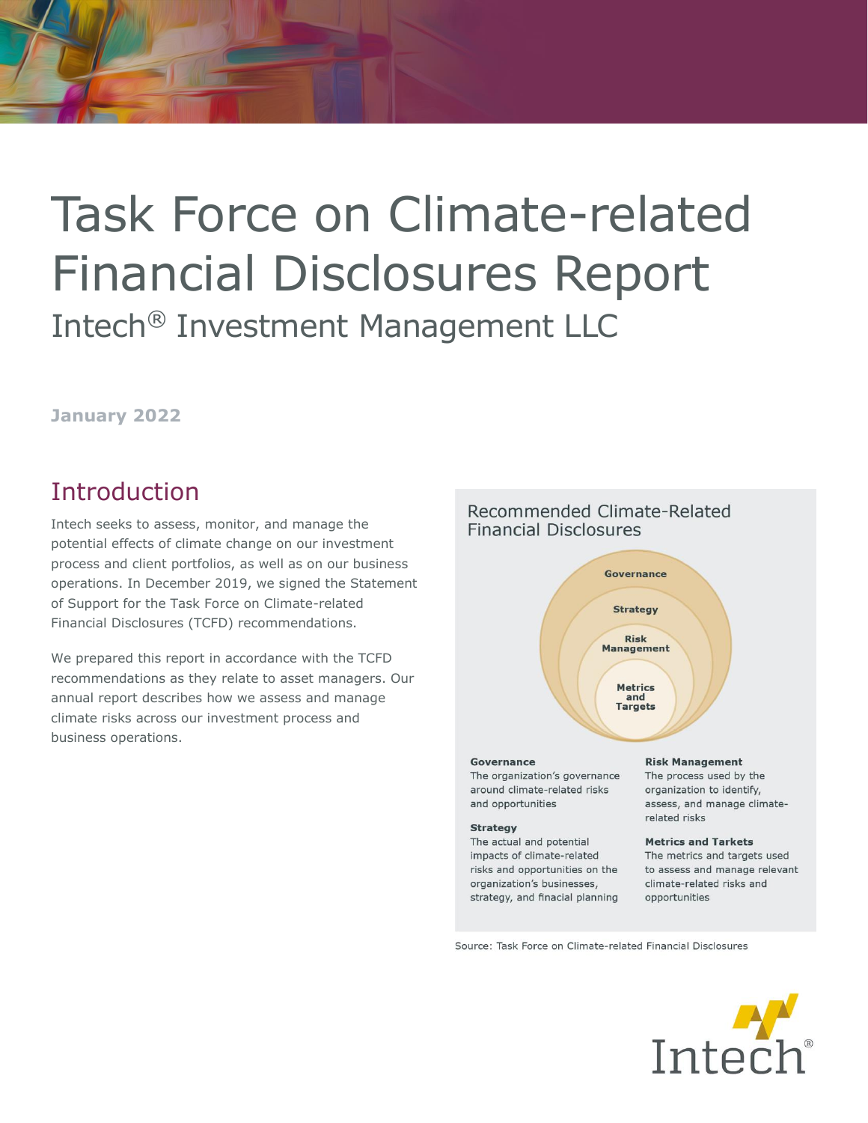# Task Force on Climate-related Financial Disclosures Report Intech® Investment Management LLC

## **January 2022**

# **Introduction**

Intech seeks to assess, monitor, and manage the potential effects of climate change on our investment process and client portfolios, as well as on our business operations. In December 2019, we signed the Statement of Support for the Task Force on Climate-related Financial Disclosures (TCFD) recommendations.

We prepared this report in accordance with the TCFD recommendations as they relate to asset managers. Our annual report describes how we assess and manage climate risks across our investment process and business operations.

# **Financial Disclosures** Governance **Strategy Risk Management** Metrics and **Targets**

Recommended Climate-Related

#### Governance

The organization's governance around climate-related risks and opportunities

#### **Strategy**

The actual and potential impacts of climate-related risks and opportunities on the organization's businesses, strategy, and finacial planning

#### **Risk Management**

The process used by the organization to identify, assess, and manage climaterelated risks

## **Metrics and Tarkets**

The metrics and targets used to assess and manage relevant climate-related risks and opportunities

Source: Task Force on Climate-related Financial Disclosures

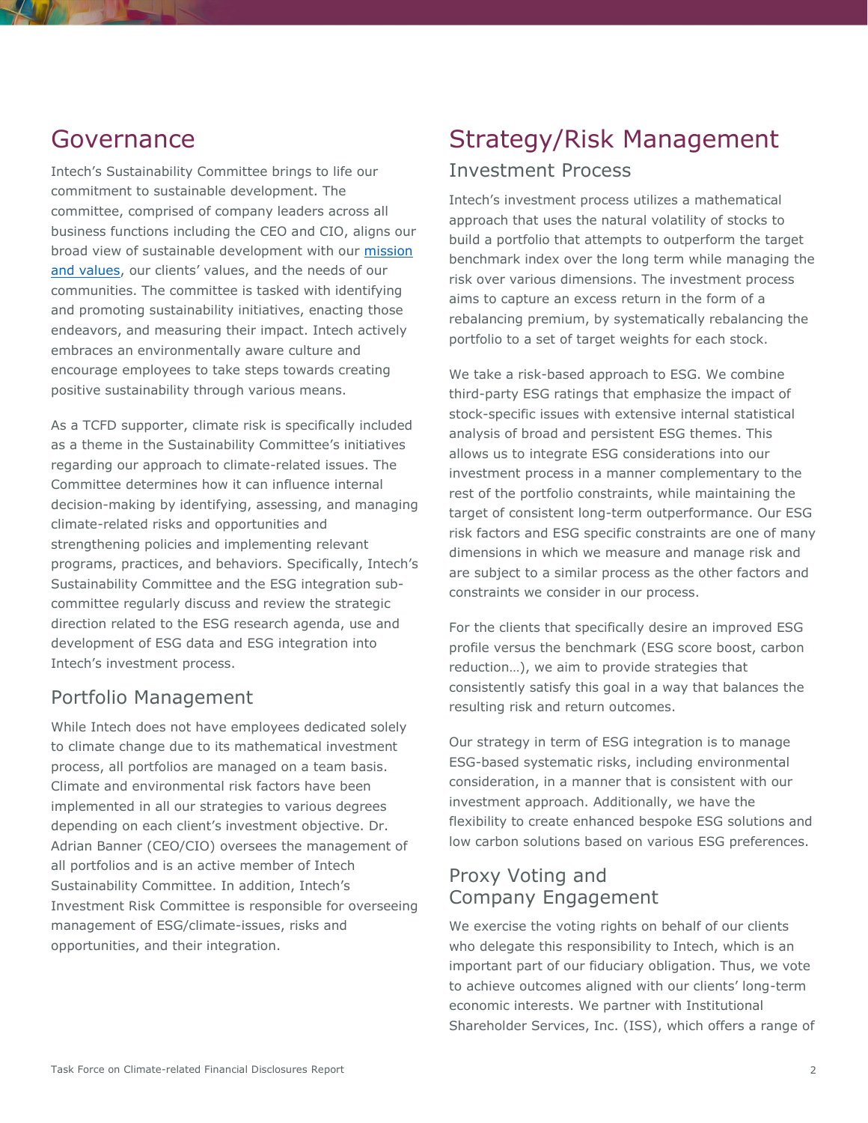## Governance

Intech's Sustainability Committee brings to life our commitment to sustainable development. The committee, comprised of company leaders across all business functions including the CEO and CIO, aligns our broad view of sustainable development with our [mission](https://www.intechinvestments.com/culture)  [and values](https://www.intechinvestments.com/culture), our clients' values, and the needs of our communities. The committee is tasked with identifying and promoting sustainability initiatives, enacting those endeavors, and measuring their impact. Intech actively embraces an environmentally aware culture and encourage employees to take steps towards creating positive sustainability through various means.

As a TCFD supporter, climate risk is specifically included as a theme in the Sustainability Committee's initiatives regarding our approach to climate-related issues. The Committee determines how it can influence internal decision-making by identifying, assessing, and managing climate-related risks and opportunities and strengthening policies and implementing relevant programs, practices, and behaviors. Specifically, Intech's Sustainability Committee and the ESG integration subcommittee regularly discuss and review the strategic direction related to the ESG research agenda, use and development of ESG data and ESG integration into Intech's investment process.

## Portfolio Management

While Intech does not have employees dedicated solely to climate change due to its mathematical investment process, all portfolios are managed on a team basis. Climate and environmental risk factors have been implemented in all our strategies to various degrees depending on each client's investment objective. Dr. Adrian Banner (CEO/CIO) oversees the management of all portfolios and is an active member of Intech Sustainability Committee. In addition, Intech's Investment Risk Committee is responsible for overseeing management of ESG/climate-issues, risks and opportunities, and their integration.

# Strategy/Risk Management

## Investment Process

Intech's investment process utilizes a mathematical approach that uses the natural volatility of stocks to build a portfolio that attempts to outperform the target benchmark index over the long term while managing the risk over various dimensions. The investment process aims to capture an excess return in the form of a rebalancing premium, by systematically rebalancing the portfolio to a set of target weights for each stock.

We take a risk-based approach to ESG. We combine third-party ESG ratings that emphasize the impact of stock-specific issues with extensive internal statistical analysis of broad and persistent ESG themes. This allows us to integrate ESG considerations into our investment process in a manner complementary to the rest of the portfolio constraints, while maintaining the target of consistent long-term outperformance. Our ESG risk factors and ESG specific constraints are one of many dimensions in which we measure and manage risk and are subject to a similar process as the other factors and constraints we consider in our process.

For the clients that specifically desire an improved ESG profile versus the benchmark (ESG score boost, carbon reduction…), we aim to provide strategies that consistently satisfy this goal in a way that balances the resulting risk and return outcomes.

Our strategy in term of ESG integration is to manage ESG-based systematic risks, including environmental consideration, in a manner that is consistent with our investment approach. Additionally, we have the flexibility to create enhanced bespoke ESG solutions and low carbon solutions based on various ESG preferences.

## Proxy Voting and Company Engagement

We exercise the voting rights on behalf of our clients who delegate this responsibility to Intech, which is an important part of our fiduciary obligation. Thus, we vote to achieve outcomes aligned with our clients' long-term economic interests. We partner with Institutional Shareholder Services, Inc. (ISS), which offers a range of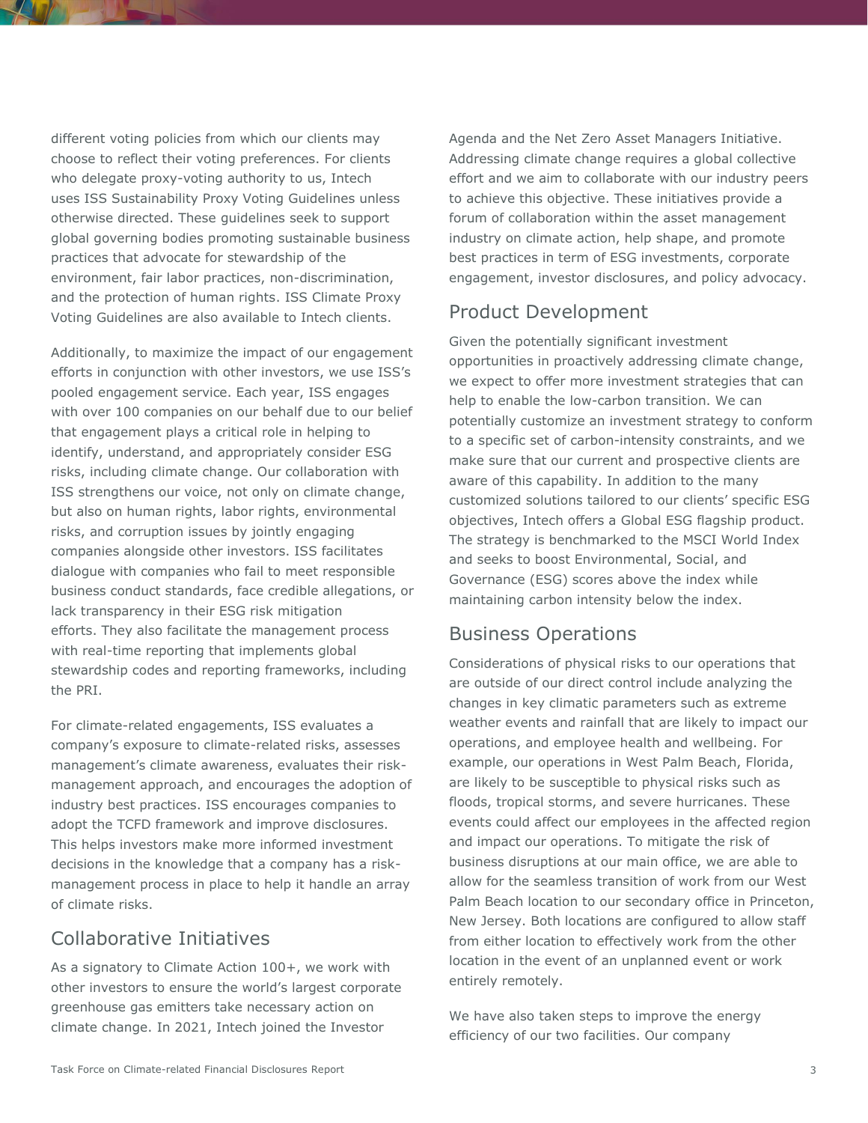different voting policies from which our clients may choose to reflect their voting preferences. For clients who delegate proxy-voting authority to us, Intech uses [ISS Sustainability Proxy Voting Guidelines](https://www.issgovernance.com/policy-gateway/voting-policies/) unless otherwise directed. These guidelines seek to support global governing bodies promoting sustainable business practices that advocate for stewardship of the environment, fair labor practices, non-discrimination, and the protection of human rights. [ISS Climate Proxy](https://www.issgovernance.com/policy-gateway/voting-policies/)  [Voting Guidelines](https://www.issgovernance.com/policy-gateway/voting-policies/) are also available to Intech clients.

Additionally, to maximize the impact of our engagement efforts in conjunction with other investors, we use ISS's pooled engagement service. Each year, ISS engages with over 100 companies on our behalf due to our belief that engagement plays a critical role in helping to identify, understand, and appropriately consider ESG risks, including climate change. Our collaboration with ISS strengthens our voice, not only on climate change, but also on human rights, labor rights, environmental risks, and corruption issues by jointly engaging companies alongside other investors. ISS facilitates dialogue with companies who fail to meet responsible business conduct standards, face credible allegations, or lack transparency in their ESG risk mitigation efforts. They also facilitate the management process with real-time reporting that implements global stewardship codes and reporting frameworks, including the PRI.

For climate-related engagements, ISS evaluates a company's exposure to climate-related risks, assesses management's climate awareness, evaluates their riskmanagement approach, and encourages the adoption of industry best practices. ISS encourages companies to adopt the TCFD framework and improve disclosures. This helps investors make more informed investment decisions in the knowledge that a company has a riskmanagement process in place to help it handle an array of climate risks.

## Collaborative Initiatives

As a signatory to Climate Action 100+, we work with other investors to ensure the world's largest corporate greenhouse gas emitters take necessary action on climate change. In 2021, Intech joined the Investor

Agenda and the Net Zero Asset Managers Initiative. Addressing climate change requires a global collective effort and we aim to collaborate with our industry peers to achieve this objective. These initiatives provide a forum of collaboration within the asset management industry on climate action, help shape, and promote best practices in term of ESG investments, corporate engagement, investor disclosures, and policy advocacy.

## Product Development

Given the potentially significant investment opportunities in proactively addressing climate change, we expect to offer more investment strategies that can help to enable the low-carbon transition. We can potentially customize an investment strategy to conform to a specific set of carbon-intensity constraints, and we make sure that our current and prospective clients are aware of this capability. In addition to the many customized solutions tailored to our clients' specific ESG objectives, Intech offers a Global ESG flagship product. The strategy is benchmarked to the MSCI World Index and seeks to boost Environmental, Social, and Governance (ESG) scores above the index while maintaining carbon intensity below the index.

## Business Operations

Considerations of physical risks to our operations that are outside of our direct control include analyzing the changes in key climatic parameters such as extreme weather events and rainfall that are likely to impact our operations, and employee health and wellbeing. For example, our operations in West Palm Beach, Florida, are likely to be susceptible to physical risks such as floods, tropical storms, and severe hurricanes. These events could affect our employees in the affected region and impact our operations. To mitigate the risk of business disruptions at our main office, we are able to allow for the seamless transition of work from our West Palm Beach location to our secondary office in Princeton, New Jersey. Both locations are configured to allow staff from either location to effectively work from the other location in the event of an unplanned event or work entirely remotely.

We have also taken steps to improve the energy efficiency of our two facilities. Our company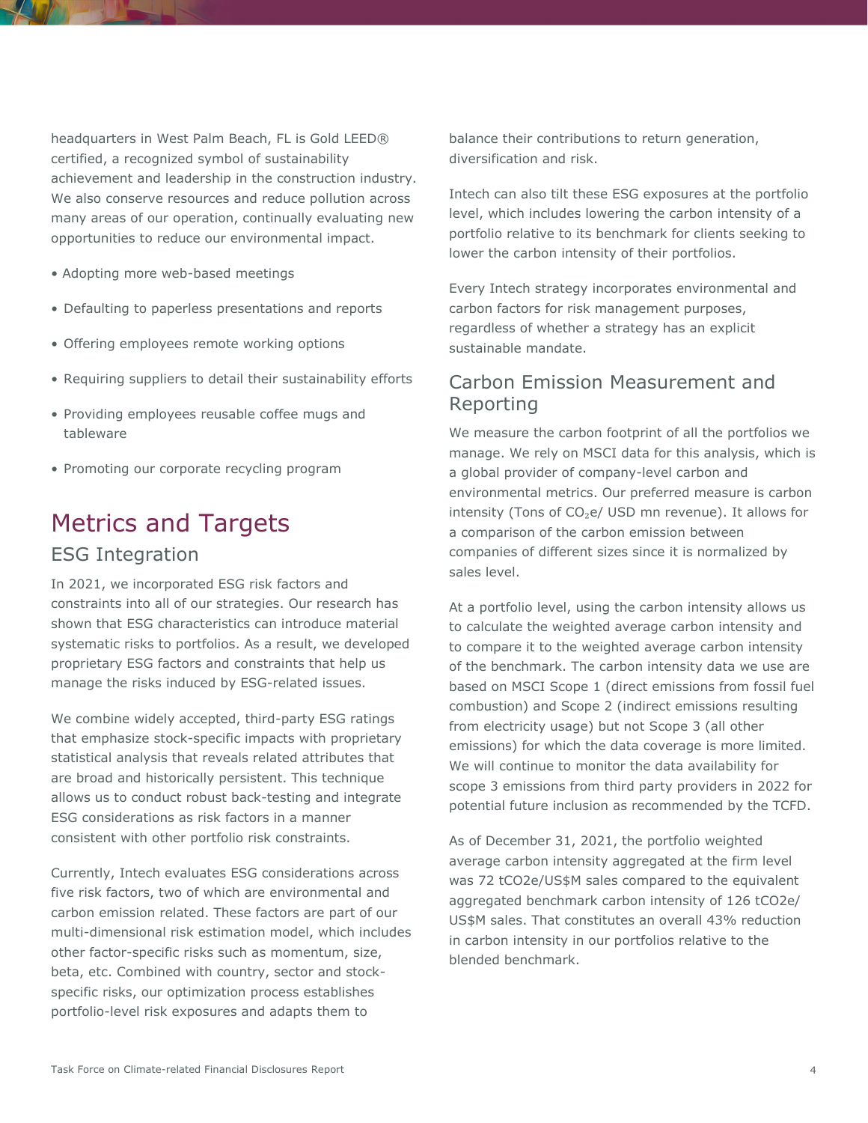headquarters in West Palm Beach, FL is [Gold LEED®](https://www.usgbc.org/leed)  [certified,](https://www.usgbc.org/leed) a recognized symbol of sustainability achievement and leadership in the construction industry. We also conserve resources and reduce pollution across many areas of our operation, continually evaluating new opportunities to reduce our environmental impact.

- Adopting more web-based meetings
- Defaulting to paperless presentations and reports
- Offering employees remote working options
- Requiring suppliers to detail their sustainability efforts
- Providing employees reusable coffee mugs and tableware
- Promoting our corporate recycling program

# Metrics and Targets

## ESG Integration

In 2021, we incorporated ESG risk factors and constraints into all of our strategies. Our research has shown that ESG characteristics can introduce material systematic risks to portfolios. As a result, we developed proprietary ESG factors and constraints that help us manage the risks induced by ESG-related issues.

We combine widely accepted, third-party ESG ratings that emphasize stock-specific impacts with proprietary statistical analysis that reveals related attributes that are broad and historically persistent. This technique allows us to conduct robust back-testing and integrate ESG considerations as risk factors in a manner consistent with other portfolio risk constraints.

Currently, Intech evaluates ESG considerations across five risk factors, two of which are environmental and carbon emission related. These factors are part of our multi-dimensional risk estimation model, which includes other factor-specific risks such as momentum, size, beta, etc. Combined with country, sector and stockspecific risks, our optimization process establishes portfolio-level risk exposures and adapts them to

balance their contributions to return generation, diversification and risk.

Intech can also tilt these ESG exposures at the portfolio level, which includes lowering the carbon intensity of a portfolio relative to its benchmark for clients seeking to lower the carbon intensity of their portfolios.

Every Intech strategy incorporates environmental and carbon factors for risk management purposes, regardless of whether a strategy has an explicit sustainable mandate.

## Carbon Emission Measurement and Reporting

We measure the carbon footprint of all the portfolios we manage. We rely on MSCI data for this analysis, which is a global provider of company-level carbon and environmental metrics. Our preferred measure is carbon intensity (Tons of CO<sub>2</sub>e/ USD mn revenue). It allows for a comparison of the carbon emission between companies of different sizes since it is normalized by sales level.

At a portfolio level, using the carbon intensity allows us to calculate the weighted average carbon intensity and to compare it to the weighted average carbon intensity of the benchmark. The carbon intensity data we use are based on MSCI Scope 1 (direct emissions from fossil fuel combustion) and Scope 2 (indirect emissions resulting from electricity usage) but not Scope 3 (all other emissions) for which the data coverage is more limited. We will continue to monitor the data availability for scope 3 emissions from third party providers in 2022 for potential future inclusion as recommended by the TCFD.

As of December 31, 2021, the portfolio weighted average carbon intensity aggregated at the firm level was 72 tCO2e/US\$M sales compared to the equivalent aggregated benchmark carbon intensity of 126 tCO2e/ US\$M sales. That constitutes an overall 43% reduction in carbon intensity in our portfolios relative to the blended benchmark.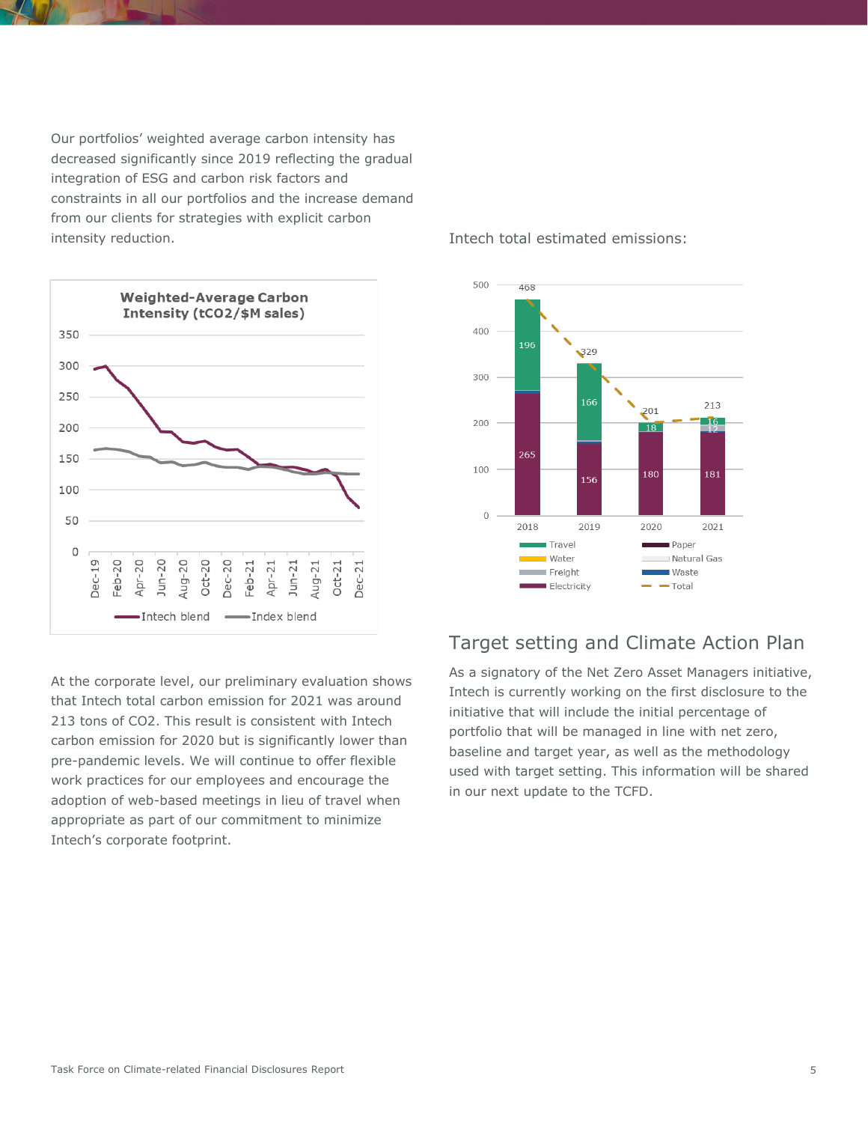Our portfolios' weighted average carbon intensity has decreased significantly since 2019 reflecting the gradual integration of ESG and carbon risk factors and constraints in all our portfolios and the increase demand from our clients for strategies with explicit carbon intensity reduction.



At the corporate level, our preliminary evaluation shows that Intech total carbon emission for 2021 was around 213 tons of CO2. This result is consistent with Intech carbon emission for 2020 but is significantly lower than pre-pandemic levels. We will continue to offer flexible work practices for our employees and encourage the adoption of web-based meetings in lieu of travel when appropriate as part of our commitment to minimize Intech's corporate footprint.

### Intech total estimated emissions:



## Target setting and Climate Action Plan

As a signatory of the Net Zero Asset Managers initiative, Intech is currently working on the first disclosure to the initiative that will include the initial percentage of portfolio that will be managed in line with net zero, baseline and target year, as well as the methodology used with target setting. This information will be shared in our next update to the TCFD.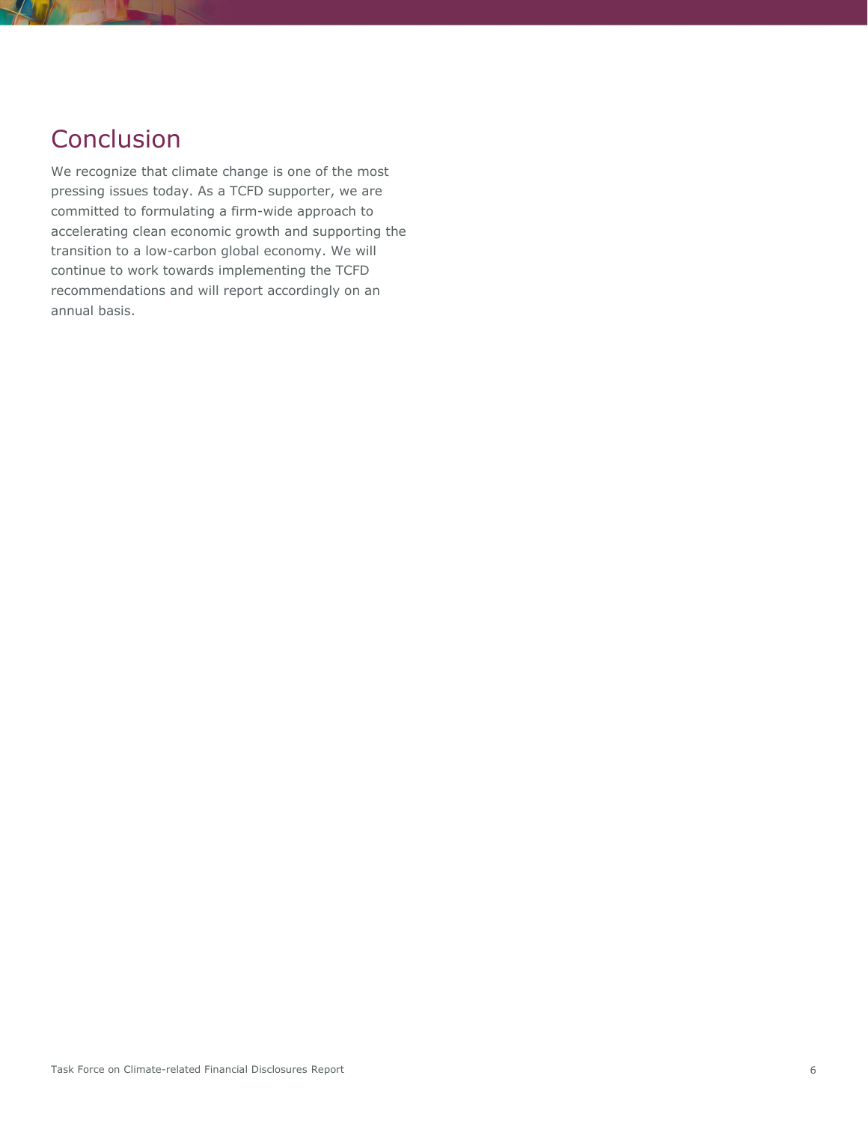# **Conclusion**

We recognize that climate change is one of the most pressing issues today. As a TCFD supporter, we are committed to formulating a firm-wide approach to accelerating clean economic growth and supporting the transition to a low-carbon global economy. We will continue to work towards implementing the TCFD recommendations and will report accordingly on an annual basis.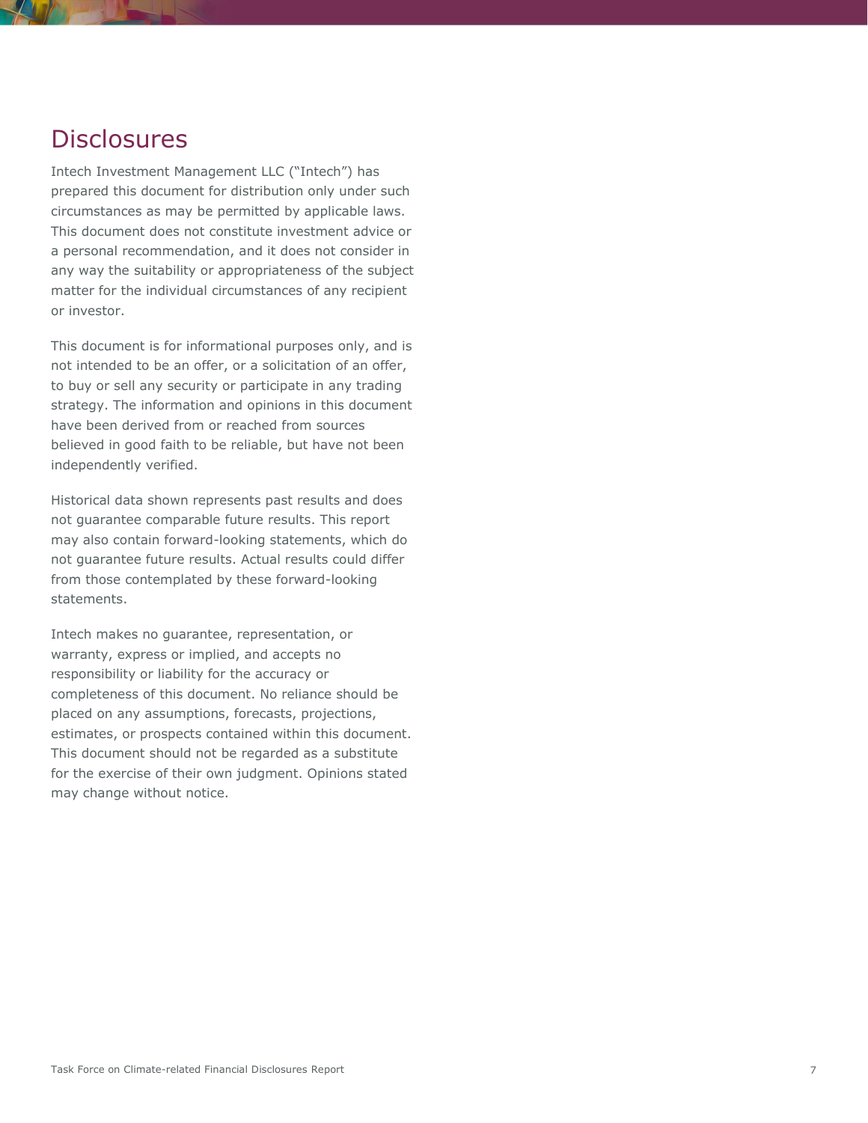## **Disclosures**

Intech Investment Management LLC ("Intech") has prepared this document for distribution only under such circumstances as may be permitted by applicable laws. This document does not constitute investment advice or a personal recommendation, and it does not consider in any way the suitability or appropriateness of the subject matter for the individual circumstances of any recipient or investor.

This document is for informational purposes only, and is not intended to be an offer, or a solicitation of an offer, to buy or sell any security or participate in any trading strategy. The information and opinions in this document have been derived from or reached from sources believed in good faith to be reliable, but have not been independently verified.

Historical data shown represents past results and does not guarantee comparable future results. This report may also contain forward-looking statements, which do not guarantee future results. Actual results could differ from those contemplated by these forward-looking statements.

Intech makes no guarantee, representation, or warranty, express or implied, and accepts no responsibility or liability for the accuracy or completeness of this document. No reliance should be placed on any assumptions, forecasts, projections, estimates, or prospects contained within this document. This document should not be regarded as a substitute for the exercise of their own judgment. Opinions stated may change without notice.